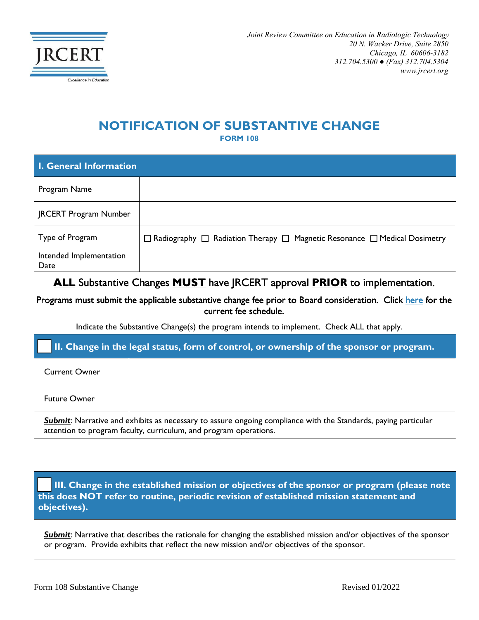

## **NOTIFICATION OF SUBSTANTIVE CHANGE**

**FORM 108**

| <b>I. General Information</b>   |                                                                                                |  |
|---------------------------------|------------------------------------------------------------------------------------------------|--|
| Program Name                    |                                                                                                |  |
| <b>JRCERT Program Number</b>    |                                                                                                |  |
| Type of Program                 | $\Box$ Radiography $\Box$ Radiation Therapy $\Box$ Magnetic Resonance $\Box$ Medical Dosimetry |  |
| Intended Implementation<br>Date |                                                                                                |  |

## **ALL** Substantive Changes **MUST** have JRCERT approval **PRIOR** to implementation.

Programs must submit the applicable substantive change fee prior to Board consideration. Click [here](https://www.jrcert.org/wp-content/uploads/Documents/Resources/Program-Resources/JRCERT_Fee_Schedule___Effective_1_1_2020-Revised-April-2022.pdf) for the current fee schedule.

Indicate the Substantive Change(s) the program intends to implement. Check ALL that apply.

| II. Change in the legal status, form of control, or ownership of the sponsor or program.                                                                                                   |  |
|--------------------------------------------------------------------------------------------------------------------------------------------------------------------------------------------|--|
| <b>Current Owner</b>                                                                                                                                                                       |  |
| <b>Future Owner</b>                                                                                                                                                                        |  |
| <b>Submit:</b> Narrative and exhibits as necessary to assure ongoing compliance with the Standards, paying particular<br>attention to program faculty, curriculum, and program operations. |  |

III. Change in the established mission or objectives of the sponsor or program (please note **this does NOT refer to routine, periodic revision of established mission statement and objectives).**

**Submit**: Narrative that describes the rationale for changing the established mission and/or objectives of the sponsor or program. Provide exhibits that reflect the new mission and/or objectives of the sponsor.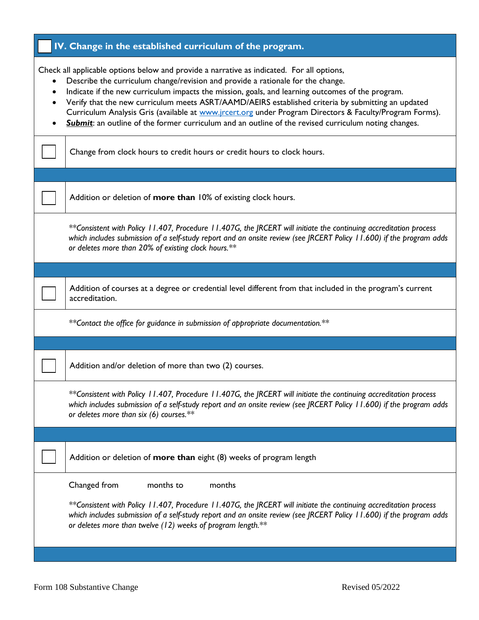| IV. Change in the established curriculum of the program.                                                                                                                                                                                                                                                                                                                                                                                                                                                                                                                                                  |  |
|-----------------------------------------------------------------------------------------------------------------------------------------------------------------------------------------------------------------------------------------------------------------------------------------------------------------------------------------------------------------------------------------------------------------------------------------------------------------------------------------------------------------------------------------------------------------------------------------------------------|--|
| Check all applicable options below and provide a narrative as indicated. For all options,<br>Describe the curriculum change/revision and provide a rationale for the change.<br>Indicate if the new curriculum impacts the mission, goals, and learning outcomes of the program.<br>Verify that the new curriculum meets ASRT/AAMD/AEIRS established criteria by submitting an updated<br>Curriculum Analysis Gris (available at www.jrcert.org under Program Directors & Faculty/Program Forms).<br>Submit: an outline of the former curriculum and an outline of the revised curriculum noting changes. |  |
| Change from clock hours to credit hours or credit hours to clock hours.                                                                                                                                                                                                                                                                                                                                                                                                                                                                                                                                   |  |
|                                                                                                                                                                                                                                                                                                                                                                                                                                                                                                                                                                                                           |  |
| Addition or deletion of more than 10% of existing clock hours.                                                                                                                                                                                                                                                                                                                                                                                                                                                                                                                                            |  |
| **Consistent with Policy 11.407, Procedure 11.407G, the JRCERT will initiate the continuing accreditation process<br>which includes submission of a self-study report and an onsite review (see JRCERT Policy 11.600) if the program adds<br>or deletes more than 20% of existing clock hours.**                                                                                                                                                                                                                                                                                                          |  |
|                                                                                                                                                                                                                                                                                                                                                                                                                                                                                                                                                                                                           |  |
| Addition of courses at a degree or credential level different from that included in the program's current<br>accreditation.                                                                                                                                                                                                                                                                                                                                                                                                                                                                               |  |
| **Contact the office for guidance in submission of appropriate documentation.**                                                                                                                                                                                                                                                                                                                                                                                                                                                                                                                           |  |
|                                                                                                                                                                                                                                                                                                                                                                                                                                                                                                                                                                                                           |  |
| Addition and/or deletion of more than two (2) courses.                                                                                                                                                                                                                                                                                                                                                                                                                                                                                                                                                    |  |
| **Consistent with Policy 11.407, Procedure 11.407G, the JRCERT will initiate the continuing accreditation process<br>which includes submission of a self-study report and an onsite review (see JRCERT Policy 11.600) if the program adds<br>or deletes more than six $(6)$ courses.**                                                                                                                                                                                                                                                                                                                    |  |
|                                                                                                                                                                                                                                                                                                                                                                                                                                                                                                                                                                                                           |  |
| Addition or deletion of more than eight (8) weeks of program length                                                                                                                                                                                                                                                                                                                                                                                                                                                                                                                                       |  |
| Changed from<br>months to<br>months                                                                                                                                                                                                                                                                                                                                                                                                                                                                                                                                                                       |  |
| **Consistent with Policy 11.407, Procedure 11.407G, the JRCERT will initiate the continuing accreditation process<br>which includes submission of a self-study report and an onsite review (see JRCERT Policy 11.600) if the program adds<br>or deletes more than twelve (12) weeks of program length.**                                                                                                                                                                                                                                                                                                  |  |
|                                                                                                                                                                                                                                                                                                                                                                                                                                                                                                                                                                                                           |  |